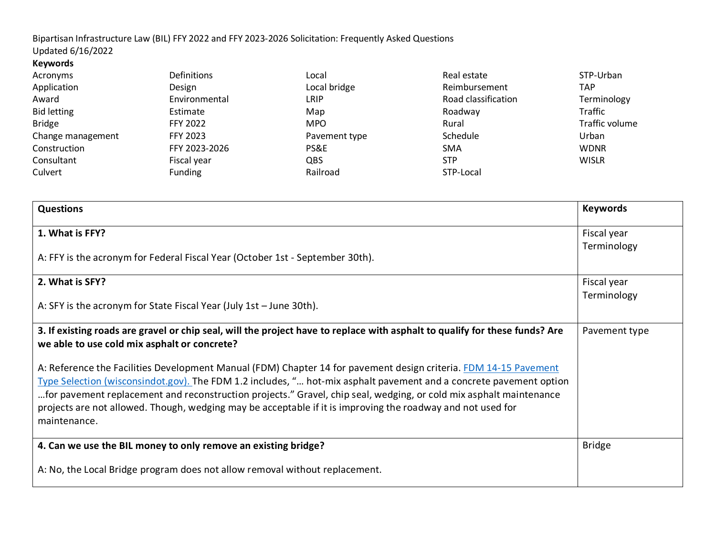Updated 6/16/2022 **Keywords**

| Definitions     | Local         | Real estate         | STP-Urban      |
|-----------------|---------------|---------------------|----------------|
| Design          | Local bridge  | Reimbursement       | TAP            |
| Environmental   | LRIP          | Road classification | Terminology    |
| Estimate        | Map           | Roadway             | Traffic        |
| <b>FFY 2022</b> | <b>MPO</b>    | Rural               | Traffic volume |
| FFY 2023        | Pavement type | Schedule            | Urban          |
| FFY 2023-2026   | PS&E          | <b>SMA</b>          | <b>WDNR</b>    |
| Fiscal year     | QBS           | <b>STP</b>          | <b>WISLR</b>   |
| <b>Funding</b>  | Railroad      | STP-Local           |                |
|                 |               |                     |                |

| <b>Questions</b>                                                                                                                                                                                                                         | <b>Keywords</b> |
|------------------------------------------------------------------------------------------------------------------------------------------------------------------------------------------------------------------------------------------|-----------------|
| 1. What is FFY?                                                                                                                                                                                                                          | Fiscal year     |
| A: FFY is the acronym for Federal Fiscal Year (October 1st - September 30th).                                                                                                                                                            | Terminology     |
| 2. What is SFY?                                                                                                                                                                                                                          | Fiscal year     |
| A: SFY is the acronym for State Fiscal Year (July 1st - June 30th).                                                                                                                                                                      | Terminology     |
| 3. If existing roads are gravel or chip seal, will the project have to replace with asphalt to qualify for these funds? Are<br>we able to use cold mix asphalt or concrete?                                                              | Pavement type   |
| A: Reference the Facilities Development Manual (FDM) Chapter 14 for pavement design criteria. FDM 14-15 Pavement                                                                                                                         |                 |
| Type Selection (wisconsindot.gov). The FDM 1.2 includes, " hot-mix asphalt pavement and a concrete pavement option<br>for pavement replacement and reconstruction projects." Gravel, chip seal, wedging, or cold mix asphalt maintenance |                 |
| projects are not allowed. Though, wedging may be acceptable if it is improving the roadway and not used for                                                                                                                              |                 |
| maintenance.                                                                                                                                                                                                                             |                 |
| 4. Can we use the BIL money to only remove an existing bridge?                                                                                                                                                                           | <b>Bridge</b>   |
| A: No, the Local Bridge program does not allow removal without replacement.                                                                                                                                                              |                 |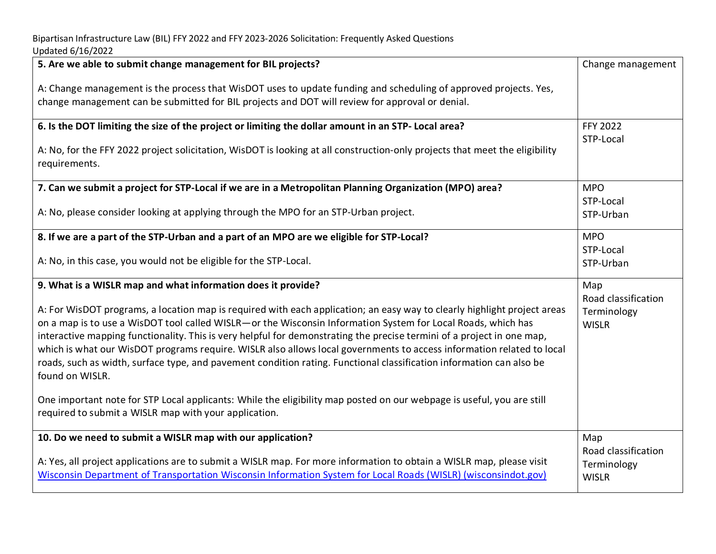| 5. Are we able to submit change management for BIL projects?                                                                                                                                                                                                                                                                                                                                                                                                                                                                                                                                                                           | Change management                                  |
|----------------------------------------------------------------------------------------------------------------------------------------------------------------------------------------------------------------------------------------------------------------------------------------------------------------------------------------------------------------------------------------------------------------------------------------------------------------------------------------------------------------------------------------------------------------------------------------------------------------------------------------|----------------------------------------------------|
| A: Change management is the process that WisDOT uses to update funding and scheduling of approved projects. Yes,<br>change management can be submitted for BIL projects and DOT will review for approval or denial.                                                                                                                                                                                                                                                                                                                                                                                                                    |                                                    |
| 6. Is the DOT limiting the size of the project or limiting the dollar amount in an STP- Local area?                                                                                                                                                                                                                                                                                                                                                                                                                                                                                                                                    | <b>FFY 2022</b>                                    |
| A: No, for the FFY 2022 project solicitation, WisDOT is looking at all construction-only projects that meet the eligibility<br>requirements.                                                                                                                                                                                                                                                                                                                                                                                                                                                                                           | STP-Local                                          |
| 7. Can we submit a project for STP-Local if we are in a Metropolitan Planning Organization (MPO) area?                                                                                                                                                                                                                                                                                                                                                                                                                                                                                                                                 | <b>MPO</b>                                         |
| A: No, please consider looking at applying through the MPO for an STP-Urban project.                                                                                                                                                                                                                                                                                                                                                                                                                                                                                                                                                   | STP-Local<br>STP-Urban                             |
| 8. If we are a part of the STP-Urban and a part of an MPO are we eligible for STP-Local?                                                                                                                                                                                                                                                                                                                                                                                                                                                                                                                                               | <b>MPO</b>                                         |
| A: No, in this case, you would not be eligible for the STP-Local.                                                                                                                                                                                                                                                                                                                                                                                                                                                                                                                                                                      | STP-Local<br>STP-Urban                             |
| 9. What is a WISLR map and what information does it provide?                                                                                                                                                                                                                                                                                                                                                                                                                                                                                                                                                                           | Map                                                |
| A: For WisDOT programs, a location map is required with each application; an easy way to clearly highlight project areas<br>on a map is to use a WisDOT tool called WISLR-or the Wisconsin Information System for Local Roads, which has<br>interactive mapping functionality. This is very helpful for demonstrating the precise termini of a project in one map,<br>which is what our WisDOT programs require. WISLR also allows local governments to access information related to local<br>roads, such as width, surface type, and pavement condition rating. Functional classification information can also be<br>found on WISLR. | Road classification<br>Terminology<br><b>WISLR</b> |
| One important note for STP Local applicants: While the eligibility map posted on our webpage is useful, you are still<br>required to submit a WISLR map with your application.                                                                                                                                                                                                                                                                                                                                                                                                                                                         |                                                    |
| 10. Do we need to submit a WISLR map with our application?                                                                                                                                                                                                                                                                                                                                                                                                                                                                                                                                                                             | Map                                                |
| A: Yes, all project applications are to submit a WISLR map. For more information to obtain a WISLR map, please visit<br>Wisconsin Department of Transportation Wisconsin Information System for Local Roads (WISLR) (wisconsindot.gov)                                                                                                                                                                                                                                                                                                                                                                                                 | Road classification<br>Terminology<br><b>WISLR</b> |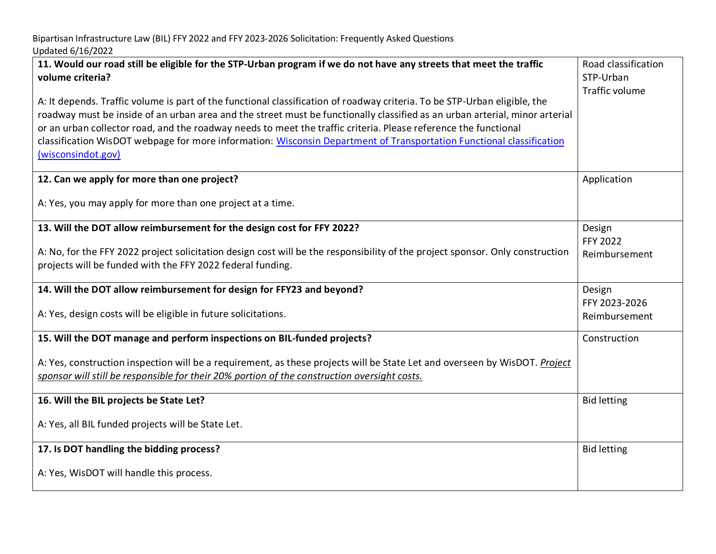| 11. Would our road still be eligible for the STP-Urban program if we do not have any streets that meet the traffic<br>volume criteria?                                                                                                                                                                                                                                                                                                                                                                                    | Road classification<br>STP-Urban<br><b>Traffic volume</b> |
|---------------------------------------------------------------------------------------------------------------------------------------------------------------------------------------------------------------------------------------------------------------------------------------------------------------------------------------------------------------------------------------------------------------------------------------------------------------------------------------------------------------------------|-----------------------------------------------------------|
| A: It depends. Traffic volume is part of the functional classification of roadway criteria. To be STP-Urban eligible, the<br>roadway must be inside of an urban area and the street must be functionally classified as an urban arterial, minor arterial<br>or an urban collector road, and the roadway needs to meet the traffic criteria. Please reference the functional<br>classification WisDOT webpage for more information: Wisconsin Department of Transportation Functional classification<br>(wisconsindot.gov) |                                                           |
| 12. Can we apply for more than one project?                                                                                                                                                                                                                                                                                                                                                                                                                                                                               | Application                                               |
| A: Yes, you may apply for more than one project at a time.                                                                                                                                                                                                                                                                                                                                                                                                                                                                |                                                           |
| 13. Will the DOT allow reimbursement for the design cost for FFY 2022?                                                                                                                                                                                                                                                                                                                                                                                                                                                    | Design<br>FFY 2022                                        |
| A: No, for the FFY 2022 project solicitation design cost will be the responsibility of the project sponsor. Only construction<br>projects will be funded with the FFY 2022 federal funding.                                                                                                                                                                                                                                                                                                                               | Reimbursement                                             |
| 14. Will the DOT allow reimbursement for design for FFY23 and beyond?                                                                                                                                                                                                                                                                                                                                                                                                                                                     | Design<br>FFY 2023-2026                                   |
| A: Yes, design costs will be eligible in future solicitations.                                                                                                                                                                                                                                                                                                                                                                                                                                                            | Reimbursement                                             |
| 15. Will the DOT manage and perform inspections on BIL-funded projects?                                                                                                                                                                                                                                                                                                                                                                                                                                                   | Construction                                              |
| A: Yes, construction inspection will be a requirement, as these projects will be State Let and overseen by WisDOT. Project<br>sponsor will still be responsible for their 20% portion of the construction oversight costs.                                                                                                                                                                                                                                                                                                |                                                           |
| 16. Will the BIL projects be State Let?                                                                                                                                                                                                                                                                                                                                                                                                                                                                                   | <b>Bid letting</b>                                        |
| A: Yes, all BIL funded projects will be State Let.                                                                                                                                                                                                                                                                                                                                                                                                                                                                        |                                                           |
| 17. Is DOT handling the bidding process?                                                                                                                                                                                                                                                                                                                                                                                                                                                                                  | <b>Bid letting</b>                                        |
| A: Yes, WisDOT will handle this process.                                                                                                                                                                                                                                                                                                                                                                                                                                                                                  |                                                           |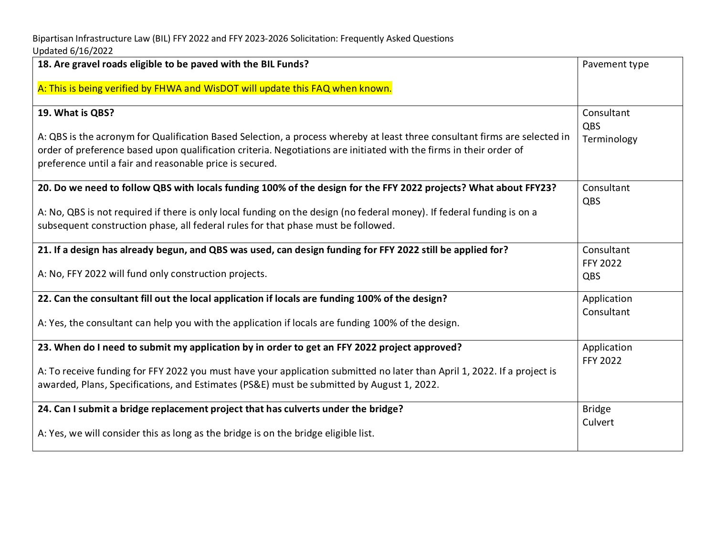| 18. Are gravel roads eligible to be paved with the BIL Funds?                                                                                                                                                                                                                                                | Pavement type                  |
|--------------------------------------------------------------------------------------------------------------------------------------------------------------------------------------------------------------------------------------------------------------------------------------------------------------|--------------------------------|
| A: This is being verified by FHWA and WisDOT will update this FAQ when known.                                                                                                                                                                                                                                |                                |
| 19. What is QBS?                                                                                                                                                                                                                                                                                             | Consultant<br>QBS              |
| A: QBS is the acronym for Qualification Based Selection, a process whereby at least three consultant firms are selected in<br>order of preference based upon qualification criteria. Negotiations are initiated with the firms in their order of<br>preference until a fair and reasonable price is secured. | Terminology                    |
| 20. Do we need to follow QBS with locals funding 100% of the design for the FFY 2022 projects? What about FFY23?                                                                                                                                                                                             | Consultant<br>QBS              |
| A: No, QBS is not required if there is only local funding on the design (no federal money). If federal funding is on a<br>subsequent construction phase, all federal rules for that phase must be followed.                                                                                                  |                                |
| 21. If a design has already begun, and QBS was used, can design funding for FFY 2022 still be applied for?                                                                                                                                                                                                   | Consultant<br><b>FFY 2022</b>  |
| A: No, FFY 2022 will fund only construction projects.                                                                                                                                                                                                                                                        | QBS                            |
| 22. Can the consultant fill out the local application if locals are funding 100% of the design?                                                                                                                                                                                                              | Application<br>Consultant      |
| A: Yes, the consultant can help you with the application if locals are funding 100% of the design.                                                                                                                                                                                                           |                                |
| 23. When do I need to submit my application by in order to get an FFY 2022 project approved?                                                                                                                                                                                                                 | Application<br><b>FFY 2022</b> |
| A: To receive funding for FFY 2022 you must have your application submitted no later than April 1, 2022. If a project is<br>awarded, Plans, Specifications, and Estimates (PS&E) must be submitted by August 1, 2022.                                                                                        |                                |
| 24. Can I submit a bridge replacement project that has culverts under the bridge?                                                                                                                                                                                                                            | <b>Bridge</b>                  |
| A: Yes, we will consider this as long as the bridge is on the bridge eligible list.                                                                                                                                                                                                                          | Culvert                        |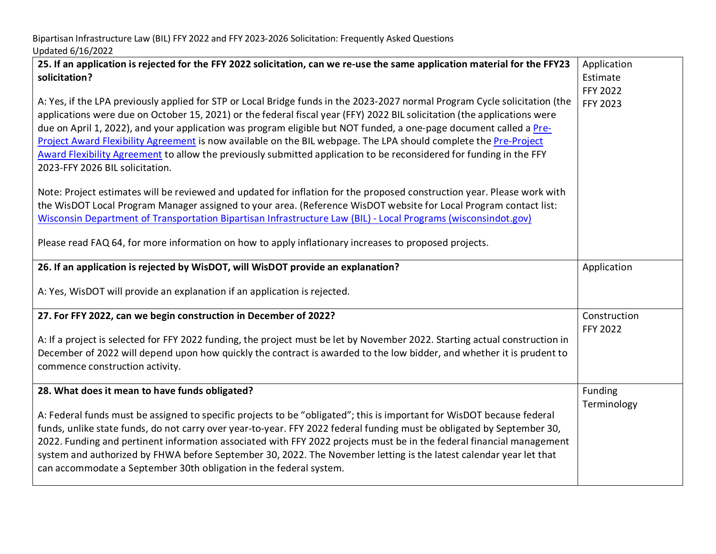| 25. If an application is rejected for the FFY 2022 solicitation, can we re-use the same application material for the FFY23<br>solicitation?<br>A: Yes, if the LPA previously applied for STP or Local Bridge funds in the 2023-2027 normal Program Cycle solicitation (the<br>applications were due on October 15, 2021) or the federal fiscal year (FFY) 2022 BIL solicitation (the applications were<br>due on April 1, 2022), and your application was program eligible but NOT funded, a one-page document called a Pre-<br>Project Award Flexibility Agreement is now available on the BIL webpage. The LPA should complete the Pre-Project<br>Award Flexibility Agreement to allow the previously submitted application to be reconsidered for funding in the FFY<br>2023-FFY 2026 BIL solicitation.<br>Note: Project estimates will be reviewed and updated for inflation for the proposed construction year. Please work with<br>the WisDOT Local Program Manager assigned to your area. (Reference WisDOT website for Local Program contact list:<br>Wisconsin Department of Transportation Bipartisan Infrastructure Law (BIL) - Local Programs (wisconsindot.gov)<br>Please read FAQ 64, for more information on how to apply inflationary increases to proposed projects. | Application<br>Estimate<br>FFY 2022<br>FFY 2023 |
|---------------------------------------------------------------------------------------------------------------------------------------------------------------------------------------------------------------------------------------------------------------------------------------------------------------------------------------------------------------------------------------------------------------------------------------------------------------------------------------------------------------------------------------------------------------------------------------------------------------------------------------------------------------------------------------------------------------------------------------------------------------------------------------------------------------------------------------------------------------------------------------------------------------------------------------------------------------------------------------------------------------------------------------------------------------------------------------------------------------------------------------------------------------------------------------------------------------------------------------------------------------------------------------|-------------------------------------------------|
| 26. If an application is rejected by WisDOT, will WisDOT provide an explanation?                                                                                                                                                                                                                                                                                                                                                                                                                                                                                                                                                                                                                                                                                                                                                                                                                                                                                                                                                                                                                                                                                                                                                                                                      | Application                                     |
| A: Yes, WisDOT will provide an explanation if an application is rejected.                                                                                                                                                                                                                                                                                                                                                                                                                                                                                                                                                                                                                                                                                                                                                                                                                                                                                                                                                                                                                                                                                                                                                                                                             |                                                 |
| 27. For FFY 2022, can we begin construction in December of 2022?                                                                                                                                                                                                                                                                                                                                                                                                                                                                                                                                                                                                                                                                                                                                                                                                                                                                                                                                                                                                                                                                                                                                                                                                                      | Construction<br><b>FFY 2022</b>                 |
| A: If a project is selected for FFY 2022 funding, the project must be let by November 2022. Starting actual construction in<br>December of 2022 will depend upon how quickly the contract is awarded to the low bidder, and whether it is prudent to<br>commence construction activity.                                                                                                                                                                                                                                                                                                                                                                                                                                                                                                                                                                                                                                                                                                                                                                                                                                                                                                                                                                                               |                                                 |
| 28. What does it mean to have funds obligated?                                                                                                                                                                                                                                                                                                                                                                                                                                                                                                                                                                                                                                                                                                                                                                                                                                                                                                                                                                                                                                                                                                                                                                                                                                        | Funding<br>Terminology                          |
| A: Federal funds must be assigned to specific projects to be "obligated"; this is important for WisDOT because federal<br>funds, unlike state funds, do not carry over year-to-year. FFY 2022 federal funding must be obligated by September 30,<br>2022. Funding and pertinent information associated with FFY 2022 projects must be in the federal financial management<br>system and authorized by FHWA before September 30, 2022. The November letting is the latest calendar year let that<br>can accommodate a September 30th obligation in the federal system.                                                                                                                                                                                                                                                                                                                                                                                                                                                                                                                                                                                                                                                                                                                 |                                                 |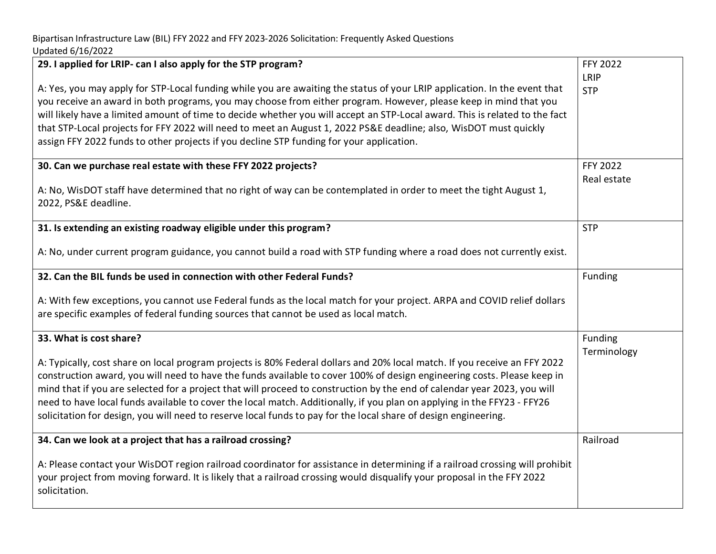| 29. I applied for LRIP- can I also apply for the STP program?<br>A: Yes, you may apply for STP-Local funding while you are awaiting the status of your LRIP application. In the event that<br>you receive an award in both programs, you may choose from either program. However, please keep in mind that you<br>will likely have a limited amount of time to decide whether you will accept an STP-Local award. This is related to the fact<br>that STP-Local projects for FFY 2022 will need to meet an August 1, 2022 PS&E deadline; also, WisDOT must quickly<br>assign FFY 2022 funds to other projects if you decline STP funding for your application. | FFY 2022<br>LRIP<br><b>STP</b> |
|----------------------------------------------------------------------------------------------------------------------------------------------------------------------------------------------------------------------------------------------------------------------------------------------------------------------------------------------------------------------------------------------------------------------------------------------------------------------------------------------------------------------------------------------------------------------------------------------------------------------------------------------------------------|--------------------------------|
| 30. Can we purchase real estate with these FFY 2022 projects?<br>A: No, WisDOT staff have determined that no right of way can be contemplated in order to meet the tight August 1,<br>2022, PS&E deadline.                                                                                                                                                                                                                                                                                                                                                                                                                                                     | FFY 2022<br>Real estate        |
| 31. Is extending an existing roadway eligible under this program?<br>A: No, under current program guidance, you cannot build a road with STP funding where a road does not currently exist.                                                                                                                                                                                                                                                                                                                                                                                                                                                                    | <b>STP</b>                     |
| 32. Can the BIL funds be used in connection with other Federal Funds?<br>A: With few exceptions, you cannot use Federal funds as the local match for your project. ARPA and COVID relief dollars<br>are specific examples of federal funding sources that cannot be used as local match.                                                                                                                                                                                                                                                                                                                                                                       | Funding                        |
| 33. What is cost share?<br>A: Typically, cost share on local program projects is 80% Federal dollars and 20% local match. If you receive an FFY 2022<br>construction award, you will need to have the funds available to cover 100% of design engineering costs. Please keep in<br>mind that if you are selected for a project that will proceed to construction by the end of calendar year 2023, you will<br>need to have local funds available to cover the local match. Additionally, if you plan on applying in the FFY23 - FFY26<br>solicitation for design, you will need to reserve local funds to pay for the local share of design engineering.      | Funding<br>Terminology         |
| 34. Can we look at a project that has a railroad crossing?<br>A: Please contact your WisDOT region railroad coordinator for assistance in determining if a railroad crossing will prohibit<br>your project from moving forward. It is likely that a railroad crossing would disqualify your proposal in the FFY 2022<br>solicitation.                                                                                                                                                                                                                                                                                                                          | Railroad                       |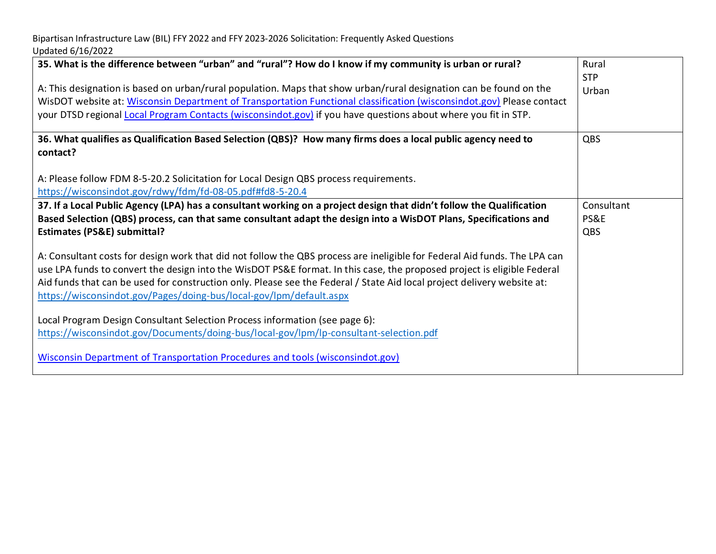| 35. What is the difference between "urban" and "rural"? How do I know if my community is urban or rural?<br>A: This designation is based on urban/rural population. Maps that show urban/rural designation can be found on the<br>WisDOT website at: Wisconsin Department of Transportation Functional classification (wisconsindot.gov) Please contact<br>your DTSD regional Local Program Contacts (wisconsindot.gov) if you have questions about where you fit in STP.                                                                                                                                                                                             | Rural<br><b>STP</b><br>Urban |
|-----------------------------------------------------------------------------------------------------------------------------------------------------------------------------------------------------------------------------------------------------------------------------------------------------------------------------------------------------------------------------------------------------------------------------------------------------------------------------------------------------------------------------------------------------------------------------------------------------------------------------------------------------------------------|------------------------------|
| 36. What qualifies as Qualification Based Selection (QBS)? How many firms does a local public agency need to<br>contact?<br>A: Please follow FDM 8-5-20.2 Solicitation for Local Design QBS process requirements.<br>https://wisconsindot.gov/rdwy/fdm/fd-08-05.pdf#fd8-5-20.4                                                                                                                                                                                                                                                                                                                                                                                        | QBS                          |
| 37. If a Local Public Agency (LPA) has a consultant working on a project design that didn't follow the Qualification<br>Based Selection (QBS) process, can that same consultant adapt the design into a WisDOT Plans, Specifications and<br><b>Estimates (PS&amp;E) submittal?</b><br>A: Consultant costs for design work that did not follow the QBS process are ineligible for Federal Aid funds. The LPA can<br>use LPA funds to convert the design into the WisDOT PS&E format. In this case, the proposed project is eligible Federal<br>Aid funds that can be used for construction only. Please see the Federal / State Aid local project delivery website at: | Consultant<br>PS&E<br>QBS    |
| https://wisconsindot.gov/Pages/doing-bus/local-gov/lpm/default.aspx<br>Local Program Design Consultant Selection Process information (see page 6):<br>https://wisconsindot.gov/Documents/doing-bus/local-gov/lpm/lp-consultant-selection.pdf<br><b>Wisconsin Department of Transportation Procedures and tools (wisconsindot.gov)</b>                                                                                                                                                                                                                                                                                                                                 |                              |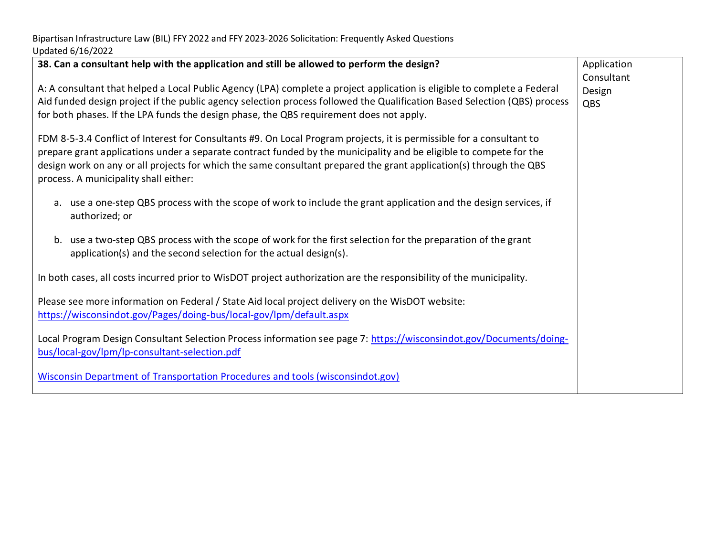| 38. Can a consultant help with the application and still be allowed to perform the design?                                                                                                                                                                                                                                                                                                                 | Application<br>Consultant |
|------------------------------------------------------------------------------------------------------------------------------------------------------------------------------------------------------------------------------------------------------------------------------------------------------------------------------------------------------------------------------------------------------------|---------------------------|
| A: A consultant that helped a Local Public Agency (LPA) complete a project application is eligible to complete a Federal<br>Aid funded design project if the public agency selection process followed the Qualification Based Selection (QBS) process<br>for both phases. If the LPA funds the design phase, the QBS requirement does not apply.                                                           | Design<br>QBS             |
| FDM 8-5-3.4 Conflict of Interest for Consultants #9. On Local Program projects, it is permissible for a consultant to<br>prepare grant applications under a separate contract funded by the municipality and be eligible to compete for the<br>design work on any or all projects for which the same consultant prepared the grant application(s) through the QBS<br>process. A municipality shall either: |                           |
| a. use a one-step QBS process with the scope of work to include the grant application and the design services, if<br>authorized; or                                                                                                                                                                                                                                                                        |                           |
| use a two-step QBS process with the scope of work for the first selection for the preparation of the grant<br>b.<br>application(s) and the second selection for the actual design(s).                                                                                                                                                                                                                      |                           |
| In both cases, all costs incurred prior to WisDOT project authorization are the responsibility of the municipality.                                                                                                                                                                                                                                                                                        |                           |
| Please see more information on Federal / State Aid local project delivery on the WisDOT website:<br>https://wisconsindot.gov/Pages/doing-bus/local-gov/lpm/default.aspx                                                                                                                                                                                                                                    |                           |
| Local Program Design Consultant Selection Process information see page 7: https://wisconsindot.gov/Documents/doing-<br>bus/local-gov/lpm/lp-consultant-selection.pdf                                                                                                                                                                                                                                       |                           |
| Wisconsin Department of Transportation Procedures and tools (wisconsindot.gov)                                                                                                                                                                                                                                                                                                                             |                           |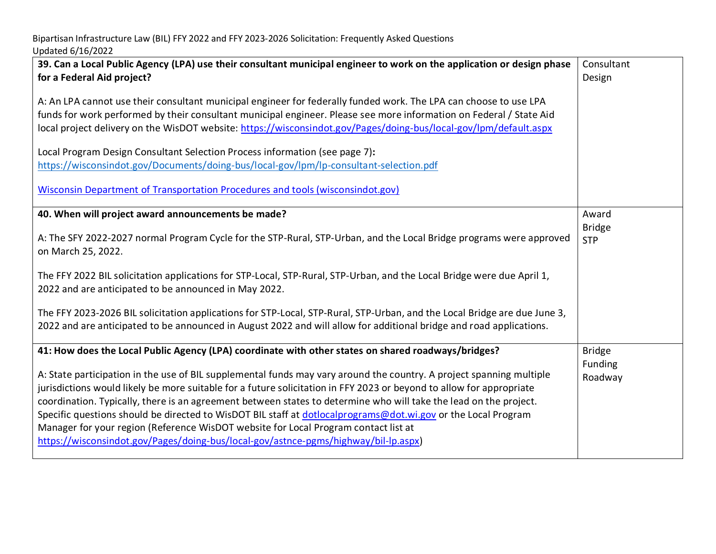| 39. Can a Local Public Agency (LPA) use their consultant municipal engineer to work on the application or design phase<br>for a Federal Aid project?                                                                                                                                                                                                                                                                                                                                                                                                                                                                                                                                                                                                                    | Consultant<br>Design                 |
|-------------------------------------------------------------------------------------------------------------------------------------------------------------------------------------------------------------------------------------------------------------------------------------------------------------------------------------------------------------------------------------------------------------------------------------------------------------------------------------------------------------------------------------------------------------------------------------------------------------------------------------------------------------------------------------------------------------------------------------------------------------------------|--------------------------------------|
| A: An LPA cannot use their consultant municipal engineer for federally funded work. The LPA can choose to use LPA<br>funds for work performed by their consultant municipal engineer. Please see more information on Federal / State Aid<br>local project delivery on the WisDOT website: https://wisconsindot.gov/Pages/doing-bus/local-gov/lpm/default.aspx                                                                                                                                                                                                                                                                                                                                                                                                           |                                      |
| Local Program Design Consultant Selection Process information (see page 7):<br>https://wisconsindot.gov/Documents/doing-bus/local-gov/lpm/lp-consultant-selection.pdf<br>Wisconsin Department of Transportation Procedures and tools (wisconsindot.gov)                                                                                                                                                                                                                                                                                                                                                                                                                                                                                                                 |                                      |
| 40. When will project award announcements be made?<br>A: The SFY 2022-2027 normal Program Cycle for the STP-Rural, STP-Urban, and the Local Bridge programs were approved<br>on March 25, 2022.                                                                                                                                                                                                                                                                                                                                                                                                                                                                                                                                                                         | Award<br><b>Bridge</b><br><b>STP</b> |
| The FFY 2022 BIL solicitation applications for STP-Local, STP-Rural, STP-Urban, and the Local Bridge were due April 1,<br>2022 and are anticipated to be announced in May 2022.                                                                                                                                                                                                                                                                                                                                                                                                                                                                                                                                                                                         |                                      |
| The FFY 2023-2026 BIL solicitation applications for STP-Local, STP-Rural, STP-Urban, and the Local Bridge are due June 3,<br>2022 and are anticipated to be announced in August 2022 and will allow for additional bridge and road applications.                                                                                                                                                                                                                                                                                                                                                                                                                                                                                                                        |                                      |
| 41: How does the Local Public Agency (LPA) coordinate with other states on shared roadways/bridges?<br>A: State participation in the use of BIL supplemental funds may vary around the country. A project spanning multiple<br>jurisdictions would likely be more suitable for a future solicitation in FFY 2023 or beyond to allow for appropriate<br>coordination. Typically, there is an agreement between states to determine who will take the lead on the project.<br>Specific questions should be directed to WisDOT BIL staff at dotlocalprograms@dot.wi.gov or the Local Program<br>Manager for your region (Reference WisDOT website for Local Program contact list at<br>https://wisconsindot.gov/Pages/doing-bus/local-gov/astnce-pgms/highway/bil-lp.aspx) | <b>Bridge</b><br>Funding<br>Roadway  |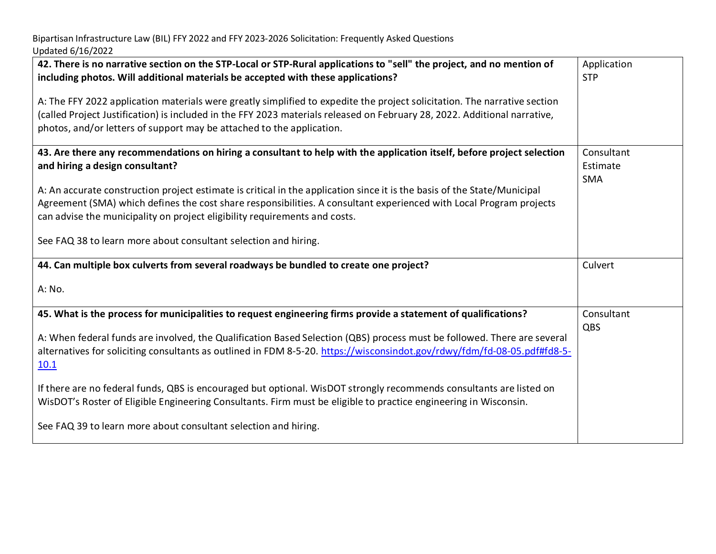| 42. There is no narrative section on the STP-Local or STP-Rural applications to "sell" the project, and no mention of<br>including photos. Will additional materials be accepted with these applications?                                                                                                                                                                                                                                                                                                                                                                                                                | Application<br><b>STP</b>            |
|--------------------------------------------------------------------------------------------------------------------------------------------------------------------------------------------------------------------------------------------------------------------------------------------------------------------------------------------------------------------------------------------------------------------------------------------------------------------------------------------------------------------------------------------------------------------------------------------------------------------------|--------------------------------------|
| A: The FFY 2022 application materials were greatly simplified to expedite the project solicitation. The narrative section<br>(called Project Justification) is included in the FFY 2023 materials released on February 28, 2022. Additional narrative,<br>photos, and/or letters of support may be attached to the application.                                                                                                                                                                                                                                                                                          |                                      |
| 43. Are there any recommendations on hiring a consultant to help with the application itself, before project selection<br>and hiring a design consultant?<br>A: An accurate construction project estimate is critical in the application since it is the basis of the State/Municipal<br>Agreement (SMA) which defines the cost share responsibilities. A consultant experienced with Local Program projects<br>can advise the municipality on project eligibility requirements and costs.<br>See FAQ 38 to learn more about consultant selection and hiring.                                                            | Consultant<br>Estimate<br><b>SMA</b> |
| 44. Can multiple box culverts from several roadways be bundled to create one project?<br>A: No.                                                                                                                                                                                                                                                                                                                                                                                                                                                                                                                          | Culvert                              |
| 45. What is the process for municipalities to request engineering firms provide a statement of qualifications?<br>A: When federal funds are involved, the Qualification Based Selection (QBS) process must be followed. There are several<br>alternatives for soliciting consultants as outlined in FDM 8-5-20. https://wisconsindot.gov/rdwy/fdm/fd-08-05.pdf#fd8-5-<br>10.1<br>If there are no federal funds, QBS is encouraged but optional. WisDOT strongly recommends consultants are listed on<br>WisDOT's Roster of Eligible Engineering Consultants. Firm must be eligible to practice engineering in Wisconsin. | Consultant<br>QBS                    |
| See FAQ 39 to learn more about consultant selection and hiring.                                                                                                                                                                                                                                                                                                                                                                                                                                                                                                                                                          |                                      |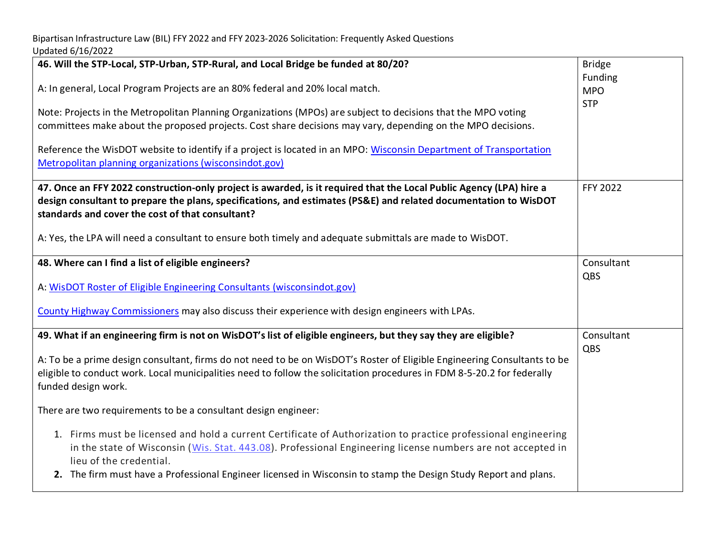| 46. Will the STP-Local, STP-Urban, STP-Rural, and Local Bridge be funded at 80/20?                                                                                                                                                                                                          | <b>Bridge</b>         |
|---------------------------------------------------------------------------------------------------------------------------------------------------------------------------------------------------------------------------------------------------------------------------------------------|-----------------------|
| A: In general, Local Program Projects are an 80% federal and 20% local match.                                                                                                                                                                                                               | Funding<br><b>MPO</b> |
| Note: Projects in the Metropolitan Planning Organizations (MPOs) are subject to decisions that the MPO voting                                                                                                                                                                               | <b>STP</b>            |
| committees make about the proposed projects. Cost share decisions may vary, depending on the MPO decisions.                                                                                                                                                                                 |                       |
| Reference the WisDOT website to identify if a project is located in an MPO: Wisconsin Department of Transportation<br>Metropolitan planning organizations (wisconsindot.gov)                                                                                                                |                       |
|                                                                                                                                                                                                                                                                                             |                       |
| 47. Once an FFY 2022 construction-only project is awarded, is it required that the Local Public Agency (LPA) hire a<br>design consultant to prepare the plans, specifications, and estimates (PS&E) and related documentation to WisDOT<br>standards and cover the cost of that consultant? | <b>FFY 2022</b>       |
| A: Yes, the LPA will need a consultant to ensure both timely and adequate submittals are made to WisDOT.                                                                                                                                                                                    |                       |
| 48. Where can I find a list of eligible engineers?                                                                                                                                                                                                                                          | Consultant            |
| A: WisDOT Roster of Eligible Engineering Consultants (wisconsindot.gov)                                                                                                                                                                                                                     | QBS                   |
| County Highway Commissioners may also discuss their experience with design engineers with LPAs.                                                                                                                                                                                             |                       |
| 49. What if an engineering firm is not on WisDOT's list of eligible engineers, but they say they are eligible?                                                                                                                                                                              | Consultant            |
| A: To be a prime design consultant, firms do not need to be on WisDOT's Roster of Eligible Engineering Consultants to be<br>eligible to conduct work. Local municipalities need to follow the solicitation procedures in FDM 8-5-20.2 for federally<br>funded design work.                  | QBS                   |
| There are two requirements to be a consultant design engineer:                                                                                                                                                                                                                              |                       |
| 1. Firms must be licensed and hold a current Certificate of Authorization to practice professional engineering<br>in the state of Wisconsin (Wis. Stat. 443.08). Professional Engineering license numbers are not accepted in<br>lieu of the credential.                                    |                       |
| 2. The firm must have a Professional Engineer licensed in Wisconsin to stamp the Design Study Report and plans.                                                                                                                                                                             |                       |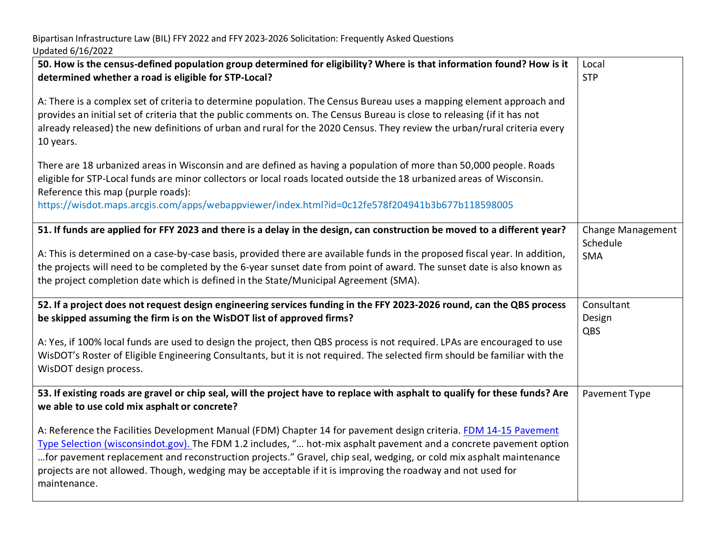| 50. How is the census-defined population group determined for eligibility? Where is that information found? How is it<br>determined whether a road is eligible for STP-Local?                                                                                                                                                                                                                                                                                                               | Local<br><b>STP</b>         |
|---------------------------------------------------------------------------------------------------------------------------------------------------------------------------------------------------------------------------------------------------------------------------------------------------------------------------------------------------------------------------------------------------------------------------------------------------------------------------------------------|-----------------------------|
| A: There is a complex set of criteria to determine population. The Census Bureau uses a mapping element approach and<br>provides an initial set of criteria that the public comments on. The Census Bureau is close to releasing (if it has not<br>already released) the new definitions of urban and rural for the 2020 Census. They review the urban/rural criteria every<br>10 years.                                                                                                    |                             |
| There are 18 urbanized areas in Wisconsin and are defined as having a population of more than 50,000 people. Roads<br>eligible for STP-Local funds are minor collectors or local roads located outside the 18 urbanized areas of Wisconsin.<br>Reference this map (purple roads):<br>https://wisdot.maps.arcgis.com/apps/webappviewer/index.html?id=0c12fe578f204941b3b677b118598005                                                                                                        |                             |
| 51. If funds are applied for FFY 2023 and there is a delay in the design, can construction be moved to a different year?                                                                                                                                                                                                                                                                                                                                                                    | <b>Change Management</b>    |
| A: This is determined on a case-by-case basis, provided there are available funds in the proposed fiscal year. In addition,<br>the projects will need to be completed by the 6-year sunset date from point of award. The sunset date is also known as<br>the project completion date which is defined in the State/Municipal Agreement (SMA).                                                                                                                                               | Schedule<br><b>SMA</b>      |
| 52. If a project does not request design engineering services funding in the FFY 2023-2026 round, can the QBS process<br>be skipped assuming the firm is on the WisDOT list of approved firms?                                                                                                                                                                                                                                                                                              | Consultant<br>Design<br>QBS |
| A: Yes, if 100% local funds are used to design the project, then QBS process is not required. LPAs are encouraged to use<br>WisDOT's Roster of Eligible Engineering Consultants, but it is not required. The selected firm should be familiar with the<br>WisDOT design process.                                                                                                                                                                                                            |                             |
| 53. If existing roads are gravel or chip seal, will the project have to replace with asphalt to qualify for these funds? Are<br>we able to use cold mix asphalt or concrete?                                                                                                                                                                                                                                                                                                                | Pavement Type               |
| A: Reference the Facilities Development Manual (FDM) Chapter 14 for pavement design criteria. FDM 14-15 Pavement<br>Type Selection (wisconsindot.gov). The FDM 1.2 includes, " hot-mix asphalt pavement and a concrete pavement option<br>for pavement replacement and reconstruction projects." Gravel, chip seal, wedging, or cold mix asphalt maintenance<br>projects are not allowed. Though, wedging may be acceptable if it is improving the roadway and not used for<br>maintenance. |                             |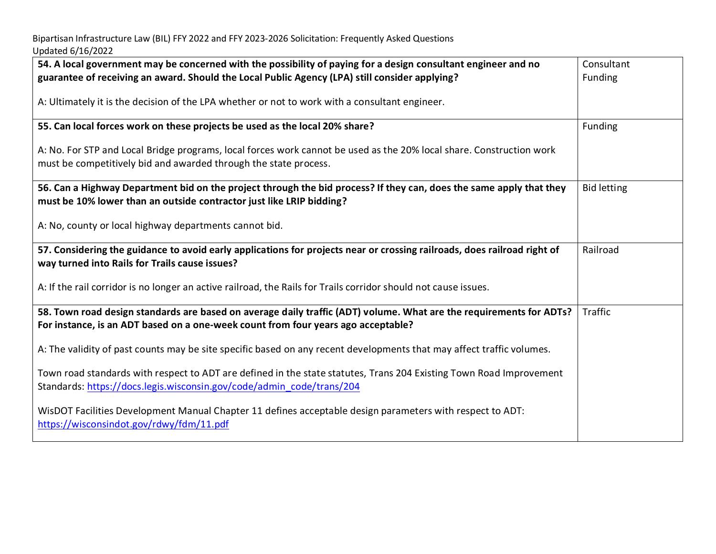| 54. A local government may be concerned with the possibility of paying for a design consultant engineer and no<br>guarantee of receiving an award. Should the Local Public Agency (LPA) still consider applying? | Consultant<br>Funding |
|------------------------------------------------------------------------------------------------------------------------------------------------------------------------------------------------------------------|-----------------------|
| A: Ultimately it is the decision of the LPA whether or not to work with a consultant engineer.                                                                                                                   |                       |
| 55. Can local forces work on these projects be used as the local 20% share?                                                                                                                                      | Funding               |
| A: No. For STP and Local Bridge programs, local forces work cannot be used as the 20% local share. Construction work<br>must be competitively bid and awarded through the state process.                         |                       |
| 56. Can a Highway Department bid on the project through the bid process? If they can, does the same apply that they<br>must be 10% lower than an outside contractor just like LRIP bidding?                      | <b>Bid letting</b>    |
| A: No, county or local highway departments cannot bid.                                                                                                                                                           |                       |
| 57. Considering the guidance to avoid early applications for projects near or crossing railroads, does railroad right of<br>way turned into Rails for Trails cause issues?                                       | Railroad              |
| A: If the rail corridor is no longer an active railroad, the Rails for Trails corridor should not cause issues.                                                                                                  |                       |
| 58. Town road design standards are based on average daily traffic (ADT) volume. What are the requirements for ADTs?<br>For instance, is an ADT based on a one-week count from four years ago acceptable?         | <b>Traffic</b>        |
| A: The validity of past counts may be site specific based on any recent developments that may affect traffic volumes.                                                                                            |                       |
| Town road standards with respect to ADT are defined in the state statutes, Trans 204 Existing Town Road Improvement<br>Standards: https://docs.legis.wisconsin.gov/code/admin_code/trans/204                     |                       |
| WisDOT Facilities Development Manual Chapter 11 defines acceptable design parameters with respect to ADT:<br>https://wisconsindot.gov/rdwy/fdm/11.pdf                                                            |                       |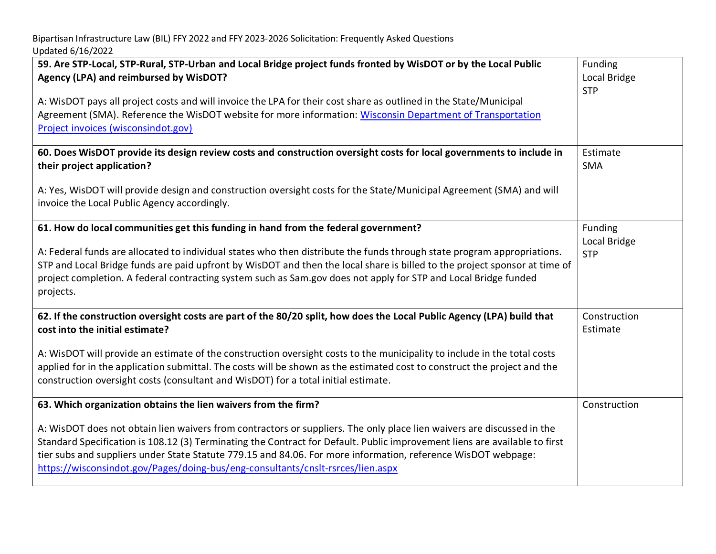| 59. Are STP-Local, STP-Rural, STP-Urban and Local Bridge project funds fronted by WisDOT or by the Local Public<br>Agency (LPA) and reimbursed by WisDOT?<br>A: WisDOT pays all project costs and will invoice the LPA for their cost share as outlined in the State/Municipal<br>Agreement (SMA). Reference the WisDOT website for more information: Wisconsin Department of Transportation<br>Project invoices (wisconsindot.gov)                                                                                        | Funding<br>Local Bridge<br><b>STP</b> |
|----------------------------------------------------------------------------------------------------------------------------------------------------------------------------------------------------------------------------------------------------------------------------------------------------------------------------------------------------------------------------------------------------------------------------------------------------------------------------------------------------------------------------|---------------------------------------|
| 60. Does WisDOT provide its design review costs and construction oversight costs for local governments to include in<br>their project application?                                                                                                                                                                                                                                                                                                                                                                         | Estimate<br><b>SMA</b>                |
| A: Yes, WisDOT will provide design and construction oversight costs for the State/Municipal Agreement (SMA) and will<br>invoice the Local Public Agency accordingly.                                                                                                                                                                                                                                                                                                                                                       |                                       |
| 61. How do local communities get this funding in hand from the federal government?<br>A: Federal funds are allocated to individual states who then distribute the funds through state program appropriations.<br>STP and Local Bridge funds are paid upfront by WisDOT and then the local share is billed to the project sponsor at time of<br>project completion. A federal contracting system such as Sam.gov does not apply for STP and Local Bridge funded<br>projects.                                                | Funding<br>Local Bridge<br><b>STP</b> |
| 62. If the construction oversight costs are part of the 80/20 split, how does the Local Public Agency (LPA) build that<br>cost into the initial estimate?<br>A: WisDOT will provide an estimate of the construction oversight costs to the municipality to include in the total costs<br>applied for in the application submittal. The costs will be shown as the estimated cost to construct the project and the<br>construction oversight costs (consultant and WisDOT) for a total initial estimate.                    | Construction<br>Estimate              |
| 63. Which organization obtains the lien waivers from the firm?<br>A: WisDOT does not obtain lien waivers from contractors or suppliers. The only place lien waivers are discussed in the<br>Standard Specification is 108.12 (3) Terminating the Contract for Default. Public improvement liens are available to first<br>tier subs and suppliers under State Statute 779.15 and 84.06. For more information, reference WisDOT webpage:<br>https://wisconsindot.gov/Pages/doing-bus/eng-consultants/cnslt-rsrces/lien.aspx | Construction                          |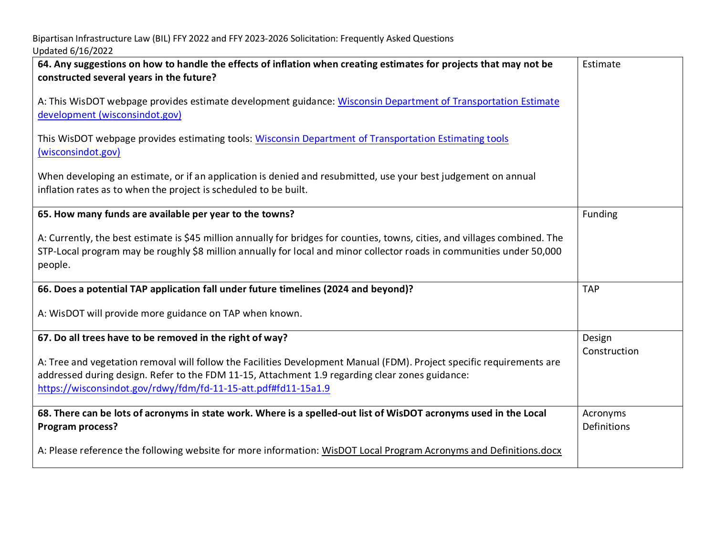| 64. Any suggestions on how to handle the effects of inflation when creating estimates for projects that may not be<br>constructed several years in the future?                                                                                                                             | Estimate                |
|--------------------------------------------------------------------------------------------------------------------------------------------------------------------------------------------------------------------------------------------------------------------------------------------|-------------------------|
| A: This WisDOT webpage provides estimate development guidance: Wisconsin Department of Transportation Estimate<br>development (wisconsindot.gov)                                                                                                                                           |                         |
| This WisDOT webpage provides estimating tools: Wisconsin Department of Transportation Estimating tools<br>(wisconsindot.gov)                                                                                                                                                               |                         |
| When developing an estimate, or if an application is denied and resubmitted, use your best judgement on annual<br>inflation rates as to when the project is scheduled to be built.                                                                                                         |                         |
| 65. How many funds are available per year to the towns?                                                                                                                                                                                                                                    | Funding                 |
| A: Currently, the best estimate is \$45 million annually for bridges for counties, towns, cities, and villages combined. The<br>STP-Local program may be roughly \$8 million annually for local and minor collector roads in communities under 50,000<br>people.                           |                         |
| 66. Does a potential TAP application fall under future timelines (2024 and beyond)?                                                                                                                                                                                                        | <b>TAP</b>              |
| A: WisDOT will provide more guidance on TAP when known.                                                                                                                                                                                                                                    |                         |
| 67. Do all trees have to be removed in the right of way?                                                                                                                                                                                                                                   | Design<br>Construction  |
| A: Tree and vegetation removal will follow the Facilities Development Manual (FDM). Project specific requirements are<br>addressed during design. Refer to the FDM 11-15, Attachment 1.9 regarding clear zones guidance:<br>https://wisconsindot.gov/rdwy/fdm/fd-11-15-att.pdf#fd11-15a1.9 |                         |
| 68. There can be lots of acronyms in state work. Where is a spelled-out list of WisDOT acronyms used in the Local<br>Program process?                                                                                                                                                      | Acronyms<br>Definitions |
| A: Please reference the following website for more information: WisDOT Local Program Acronyms and Definitions.docx                                                                                                                                                                         |                         |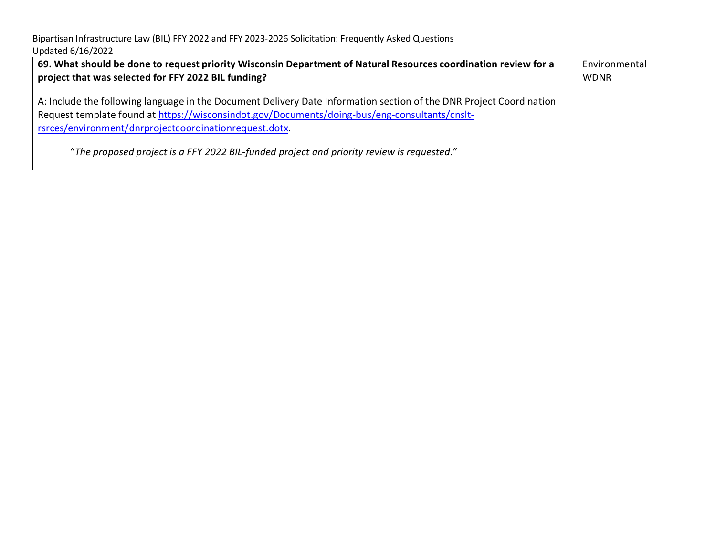| 69. What should be done to request priority Wisconsin Department of Natural Resources coordination review for a<br>project that was selected for FFY 2022 BIL funding?                                                                                                         | Environmental<br><b>WDNR</b> |
|--------------------------------------------------------------------------------------------------------------------------------------------------------------------------------------------------------------------------------------------------------------------------------|------------------------------|
| A: Include the following language in the Document Delivery Date Information section of the DNR Project Coordination<br>Request template found at https://wisconsindot.gov/Documents/doing-bus/eng-consultants/cnslt-<br>rsrces/environment/dnrprojectcoordinationrequest.dotx. |                              |
| "The proposed project is a FFY 2022 BIL-funded project and priority review is requested."                                                                                                                                                                                      |                              |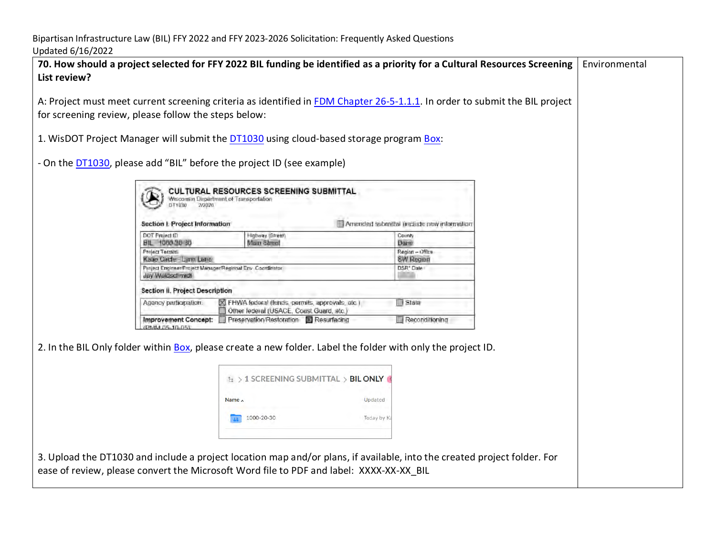| UNUULU U/IU/LULI                                                      |                                                                                                                                                                                                                     |                                           |               |
|-----------------------------------------------------------------------|---------------------------------------------------------------------------------------------------------------------------------------------------------------------------------------------------------------------|-------------------------------------------|---------------|
| List review?                                                          | 70. How should a project selected for FFY 2022 BIL funding be identified as a priority for a Cultural Resources Screening                                                                                           |                                           | Environmental |
| for screening review, please follow the steps below:                  | A: Project must meet current screening criteria as identified in FDM Chapter 26-5-1.1.1. In order to submit the BIL project                                                                                         |                                           |               |
|                                                                       | 1. WisDOT Project Manager will submit the DT1030 using cloud-based storage program Box:                                                                                                                             |                                           |               |
| - On the DT1030, please add "BIL" before the project ID (see example) |                                                                                                                                                                                                                     |                                           |               |
| DT1030<br>Section I. Project Information                              | CULTURAL RESOURCES SCREENING SUBMITTAL<br>Wisconsin Department of Transportation                                                                                                                                    | Amended submittal (include new informatio |               |
| DOT Project ID<br>BIL 1000 20 30                                      | Highway (Street)<br>Main Street                                                                                                                                                                                     | County<br>Dane                            |               |
| Project Termini<br>Katie Girde - Lynn Lane                            |                                                                                                                                                                                                                     | Region - Office<br><b>SW Region</b>       |               |
| Jay Waldschmidt                                                       | Project Engineer/Engiect Manager/Regional Env . Coordinator                                                                                                                                                         | DSR* Dale                                 |               |
| Section II. Project Description                                       |                                                                                                                                                                                                                     |                                           |               |
| Agency participation.                                                 | XI FHWA federal (funds, permits, approvals, etc.)<br>Other lederal (USACE, Coast Guard, etc.)                                                                                                                       | State                                     |               |
| <b>PMM 05-10-05</b>                                                   | Improvement Concept: Freservation/Restoration FResurfacing                                                                                                                                                          | Reconditioning                            |               |
|                                                                       | 2. In the BIL Only folder within Box, please create a new folder. Label the folder with only the project ID.                                                                                                        |                                           |               |
|                                                                       | $E > 1$ SCREENING SUBMITTAL $>$ BIL ONLY                                                                                                                                                                            |                                           |               |
|                                                                       | Name $\wedge$<br>Updated                                                                                                                                                                                            |                                           |               |
|                                                                       | 1000-20-30                                                                                                                                                                                                          | Today by K                                |               |
|                                                                       |                                                                                                                                                                                                                     |                                           |               |
|                                                                       | 3. Upload the DT1030 and include a project location map and/or plans, if available, into the created project folder. For<br>ease of review, please convert the Microsoft Word file to PDF and label: XXXX-XX-XX BIL |                                           |               |